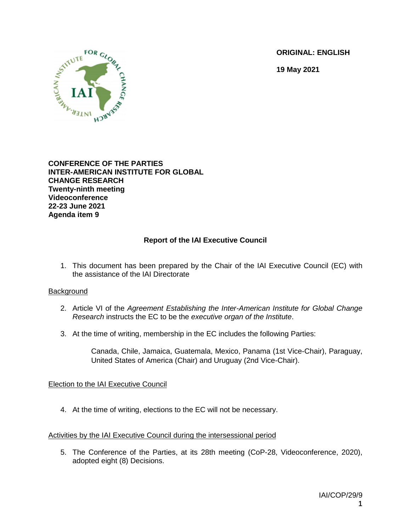**ORIGINAL: ENGLISH**

**19 May 2021**



**CONFERENCE OF THE PARTIES INTER-AMERICAN INSTITUTE FOR GLOBAL CHANGE RESEARCH Twenty-ninth meeting Videoconference 22-23 June 2021 Agenda item 9**

# **Report of the IAI Executive Council**

1. This document has been prepared by the Chair of the IAI Executive Council (EC) with the assistance of the IAI Directorate

### **Background**

- 2. Article VI of the *Agreement Establishing the Inter-American Institute for Global Change Research* instructs the EC to be the *executive organ of the Institute*.
- 3. At the time of writing, membership in the EC includes the following Parties:

Canada, Chile, Jamaica, Guatemala, Mexico, Panama (1st Vice-Chair), Paraguay, United States of America (Chair) and Uruguay (2nd Vice-Chair).

### Election to the IAI Executive Council

4. At the time of writing, elections to the EC will not be necessary.

### Activities by the IAI Executive Council during the intersessional period

5. The Conference of the Parties, at its 28th meeting (CoP-28, Videoconference, 2020), adopted eight (8) Decisions.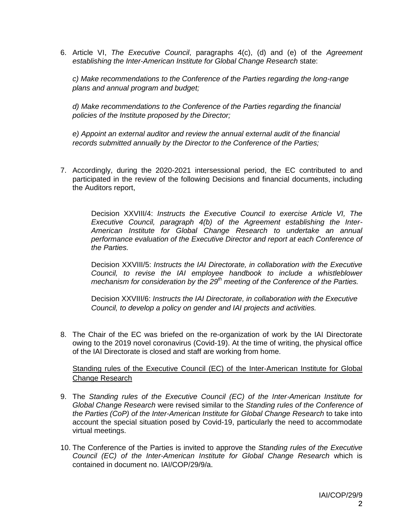6. Article VI, *The Executive Council*, paragraphs 4(c), (d) and (e) of the *Agreement establishing the Inter-American Institute for Global Change Research* state:

*c) Make recommendations to the Conference of the Parties regarding the long-range plans and annual program and budget;*

*d) Make recommendations to the Conference of the Parties regarding the financial policies of the Institute proposed by the Director;*

*e) Appoint an external auditor and review the annual external audit of the financial records submitted annually by the Director to the Conference of the Parties;*

7. Accordingly, during the 2020-2021 intersessional period, the EC contributed to and participated in the review of the following Decisions and financial documents, including the Auditors report,

Decision XXVIII/4: *Instructs the Executive Council to exercise Article VI, The Executive Council, paragraph 4(b) of the Agreement establishing the Inter-American Institute for Global Change Research to undertake an annual performance evaluation of the Executive Director and report at each Conference of the Parties.*

Decision XXVIII/5: *Instructs the IAI Directorate, in collaboration with the Executive*  Council, to revise the IAI employee handbook to include a whistleblower *mechanism for consideration by the 29th meeting of the Conference of the Parties.*

Decision XXVIII/6: *Instructs the IAI Directorate, in collaboration with the Executive Council, to develop a policy on gender and IAI projects and activities.*

8. The Chair of the EC was briefed on the re-organization of work by the IAI Directorate owing to the 2019 novel coronavirus (Covid-19). At the time of writing, the physical office of the IAI Directorate is closed and staff are working from home.

### Standing rules of the Executive Council (EC) of the Inter‐American Institute for Global Change Research

- 9. The Standing rules of the Executive Council (EC) of the Inter-American Institute for *Global Change Research* were revised similar to the *Standing rules of the Conference of the Parties (CoP) of the Inter-American Institute for Global Change Research* to take into account the special situation posed by Covid-19, particularly the need to accommodate virtual meetings.
- 10. The Conference of the Parties is invited to approve the *Standing rules of the Executive Council (EC) of the Inter-American Institute for Global Change Research* which is contained in document no. IAI/COP/29/9/a.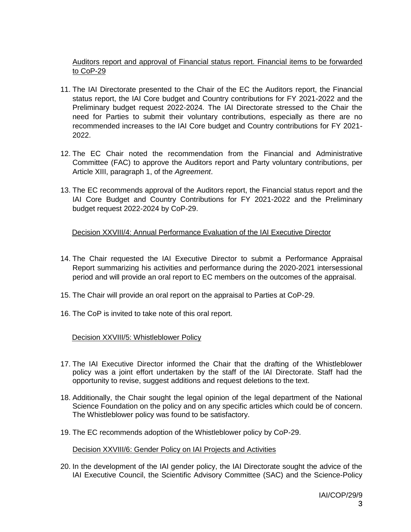# Auditors report and approval of Financial status report. Financial items to be forwarded to CoP-29

- 11. The IAI Directorate presented to the Chair of the EC the Auditors report, the Financial status report, the IAI Core budget and Country contributions for FY 2021-2022 and the Preliminary budget request 2022-2024. The IAI Directorate stressed to the Chair the need for Parties to submit their voluntary contributions, especially as there are no recommended increases to the IAI Core budget and Country contributions for FY 2021- 2022.
- 12. The EC Chair noted the recommendation from the Financial and Administrative Committee (FAC) to approve the Auditors report and Party voluntary contributions, per Article XIII, paragraph 1, of the *Agreement*.
- 13. The EC recommends approval of the Auditors report, the Financial status report and the IAI Core Budget and Country Contributions for FY 2021-2022 and the Preliminary budget request 2022-2024 by CoP-29.

# Decision XXVIII/4: Annual Performance Evaluation of the IAI Executive Director

- 14. The Chair requested the IAI Executive Director to submit a Performance Appraisal Report summarizing his activities and performance during the 2020-2021 intersessional period and will provide an oral report to EC members on the outcomes of the appraisal.
- 15. The Chair will provide an oral report on the appraisal to Parties at CoP-29.
- 16. The CoP is invited to take note of this oral report.

# Decision XXVIII/5: Whistleblower Policy

- 17. The IAI Executive Director informed the Chair that the drafting of the Whistleblower policy was a joint effort undertaken by the staff of the IAI Directorate. Staff had the opportunity to revise, suggest additions and request deletions to the text.
- 18. Additionally, the Chair sought the legal opinion of the legal department of the National Science Foundation on the policy and on any specific articles which could be of concern. The Whistleblower policy was found to be satisfactory.
- 19. The EC recommends adoption of the Whistleblower policy by CoP-29.

### Decision XXVIII/6: Gender Policy on IAI Projects and Activities

20. In the development of the IAI gender policy, the IAI Directorate sought the advice of the IAI Executive Council, the Scientific Advisory Committee (SAC) and the Science-Policy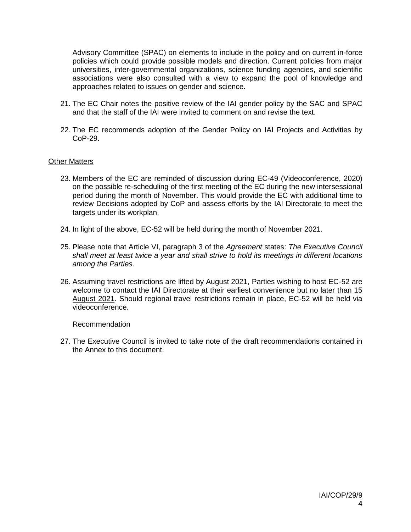Advisory Committee (SPAC) on elements to include in the policy and on current in-force policies which could provide possible models and direction. Current policies from major universities, inter-governmental organizations, science funding agencies, and scientific associations were also consulted with a view to expand the pool of knowledge and approaches related to issues on gender and science.

- 21. The EC Chair notes the positive review of the IAI gender policy by the SAC and SPAC and that the staff of the IAI were invited to comment on and revise the text.
- 22. The EC recommends adoption of the Gender Policy on IAI Projects and Activities by CoP-29.

#### Other Matters

- 23. Members of the EC are reminded of discussion during EC-49 (Videoconference, 2020) on the possible re-scheduling of the first meeting of the EC during the new intersessional period during the month of November. This would provide the EC with additional time to review Decisions adopted by CoP and assess efforts by the IAI Directorate to meet the targets under its workplan.
- 24. In light of the above, EC-52 will be held during the month of November 2021.
- 25. Please note that Article VI, paragraph 3 of the *Agreement* states: *The Executive Council shall meet at least twice a year and shall strive to hold its meetings in different locations among the Parties*.
- 26. Assuming travel restrictions are lifted by August 2021, Parties wishing to host EC-52 are welcome to contact the IAI Directorate at their earliest convenience but no later than 15 August 2021. Should regional travel restrictions remain in place, EC-52 will be held via videoconference.

#### Recommendation

27. The Executive Council is invited to take note of the draft recommendations contained in the Annex to this document.